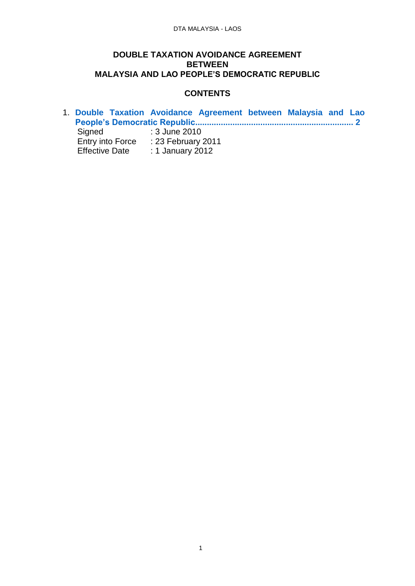#### DTA MALAYSIA - LAOS

#### **DOUBLE TAXATION AVOIDANCE AGREEMENT BETWEEN MALAYSIA AND LAO PEOPLE'S DEMOCRATIC REPUBLIC**

## **CONTENTS**

1. **[Double Taxation Avoidance Agreement between Malaysia and](#page-0-0) Lao [People's Democratic Republic....................................................................](#page-0-0) 2** Signed : 3 June 2010

<span id="page-0-0"></span>Entry into Force : 23 February 2011 Effective Date : 1 January 2012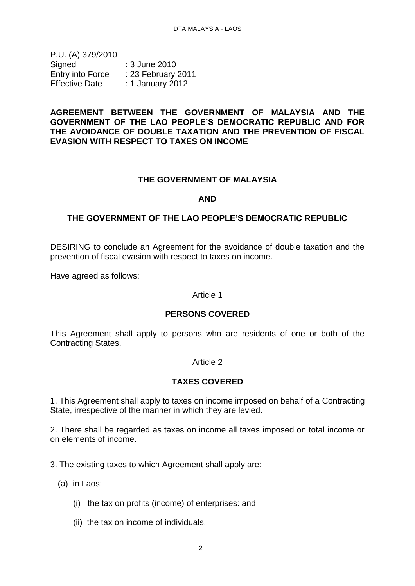P.U. (A) 379/2010 Signed : 3 June 2010 Entry into Force : 23 February 2011 Effective Date : 1 January 2012

## **AGREEMENT BETWEEN THE GOVERNMENT OF MALAYSIA AND THE GOVERNMENT OF THE LAO PEOPLE'S DEMOCRATIC REPUBLIC AND FOR THE AVOIDANCE OF DOUBLE TAXATION AND THE PREVENTION OF FISCAL EVASION WITH RESPECT TO TAXES ON INCOME**

## **THE GOVERNMENT OF MALAYSIA**

#### **AND**

### **THE GOVERNMENT OF THE LAO PEOPLE'S DEMOCRATIC REPUBLIC**

DESIRING to conclude an Agreement for the avoidance of double taxation and the prevention of fiscal evasion with respect to taxes on income.

Have agreed as follows:

Article 1

### **PERSONS COVERED**

This Agreement shall apply to persons who are residents of one or both of the Contracting States.

### Article 2

#### **TAXES COVERED**

1. This Agreement shall apply to taxes on income imposed on behalf of a Contracting State, irrespective of the manner in which they are levied.

2. There shall be regarded as taxes on income all taxes imposed on total income or on elements of income.

3. The existing taxes to which Agreement shall apply are:

(a) in Laos:

- (i) the tax on profits (income) of enterprises: and
- (ii) the tax on income of individuals.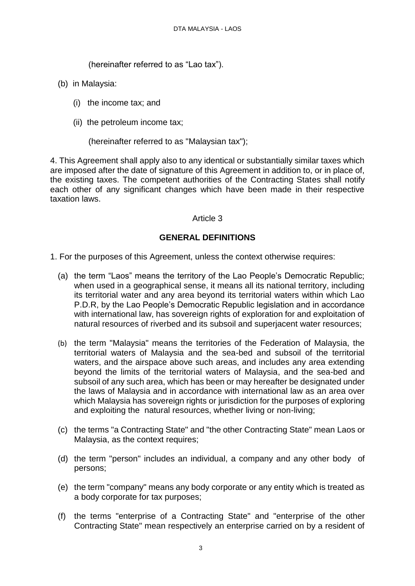(hereinafter referred to as "Lao tax").

- (b) in Malaysia:
	- (i) the income tax; and
	- (ii) the petroleum income tax;

(hereinafter referred to as "Malaysian tax");

4. This Agreement shall apply also to any identical or substantially similar taxes which are imposed after the date of signature of this Agreement in addition to, or in place of, the existing taxes. The competent authorities of the Contracting States shall notify each other of any significant changes which have been made in their respective taxation laws.

#### Article 3

### **GENERAL DEFINITIONS**

1. For the purposes of this Agreement, unless the context otherwise requires:

- (a) the term "Laos" means the territory of the Lao People's Democratic Republic; when used in a geographical sense, it means all its national territory, including its territorial water and any area beyond its territorial waters within which Lao P.D.R, by the Lao People's Democratic Republic legislation and in accordance with international law, has sovereign rights of exploration for and exploitation of natural resources of riverbed and its subsoil and superjacent water resources;
- (b) the term "Malaysia" means the territories of the Federation of Malaysia, the territorial waters of Malaysia and the sea-bed and subsoil of the territorial waters, and the airspace above such areas, and includes any area extending beyond the limits of the territorial waters of Malaysia, and the sea-bed and subsoil of any such area, which has been or may hereafter be designated under the laws of Malaysia and in accordance with international law as an area over which Malaysia has sovereign rights or jurisdiction for the purposes of exploring and exploiting the natural resources, whether living or non-living;
- (c) the terms "a Contracting State" and "the other Contracting State" mean Laos or Malaysia, as the context requires;
- (d) the term "person" includes an individual, a company and any other body of persons;
- (e) the term "company" means any body corporate or any entity which is treated as a body corporate for tax purposes;
- (f) the terms "enterprise of a Contracting State" and "enterprise of the other Contracting State" mean respectively an enterprise carried on by a resident of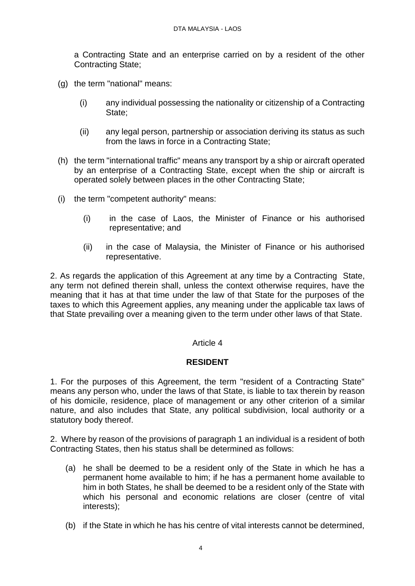a Contracting State and an enterprise carried on by a resident of the other Contracting State;

- (g) the term "national" means:
	- (i) any individual possessing the nationality or citizenship of a Contracting State;
	- (ii) any legal person, partnership or association deriving its status as such from the laws in force in a Contracting State;
- (h) the term "international traffic" means any transport by a ship or aircraft operated by an enterprise of a Contracting State, except when the ship or aircraft is operated solely between places in the other Contracting State;
- (i) the term "competent authority" means:
	- (i) in the case of Laos, the Minister of Finance or his authorised representative; and
	- (ii) in the case of Malaysia, the Minister of Finance or his authorised representative.

2. As regards the application of this Agreement at any time by a Contracting State, any term not defined therein shall, unless the context otherwise requires, have the meaning that it has at that time under the law of that State for the purposes of the taxes to which this Agreement applies, any meaning under the applicable tax laws of that State prevailing over a meaning given to the term under other laws of that State.

### Article 4

### **RESIDENT**

1. For the purposes of this Agreement, the term "resident of a Contracting State" means any person who, under the laws of that State, is liable to tax therein by reason of his domicile, residence, place of management or any other criterion of a similar nature, and also includes that State, any political subdivision, local authority or a statutory body thereof.

2. Where by reason of the provisions of paragraph 1 an individual is a resident of both Contracting States, then his status shall be determined as follows:

- (a) he shall be deemed to be a resident only of the State in which he has a permanent home available to him; if he has a permanent home available to him in both States, he shall be deemed to be a resident only of the State with which his personal and economic relations are closer (centre of vital interests);
- (b) if the State in which he has his centre of vital interests cannot be determined,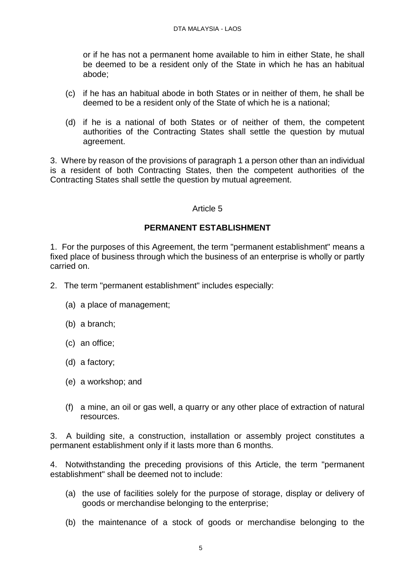or if he has not a permanent home available to him in either State, he shall be deemed to be a resident only of the State in which he has an habitual abode;

- (c) if he has an habitual abode in both States or in neither of them, he shall be deemed to be a resident only of the State of which he is a national;
- (d) if he is a national of both States or of neither of them, the competent authorities of the Contracting States shall settle the question by mutual agreement.

3. Where by reason of the provisions of paragraph 1 a person other than an individual is a resident of both Contracting States, then the competent authorities of the Contracting States shall settle the question by mutual agreement.

#### Article 5

#### **PERMANENT ESTABLISHMENT**

1. For the purposes of this Agreement, the term "permanent establishment" means a fixed place of business through which the business of an enterprise is wholly or partly carried on.

- 2. The term "permanent establishment" includes especially:
	- (a) a place of management;
	- (b) a branch;
	- (c) an office;
	- (d) a factory;
	- (e) a workshop; and
	- (f) a mine, an oil or gas well, a quarry or any other place of extraction of natural resources.

3. A building site, a construction, installation or assembly project constitutes a permanent establishment only if it lasts more than 6 months.

4. Notwithstanding the preceding provisions of this Article, the term "permanent establishment" shall be deemed not to include:

- (a) the use of facilities solely for the purpose of storage, display or delivery of goods or merchandise belonging to the enterprise;
- (b) the maintenance of a stock of goods or merchandise belonging to the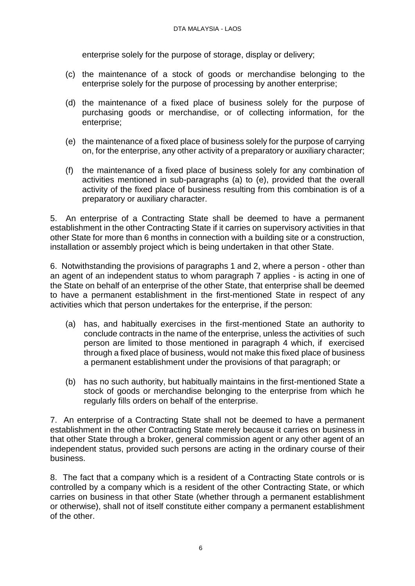enterprise solely for the purpose of storage, display or delivery;

- (c) the maintenance of a stock of goods or merchandise belonging to the enterprise solely for the purpose of processing by another enterprise;
- (d) the maintenance of a fixed place of business solely for the purpose of purchasing goods or merchandise, or of collecting information, for the enterprise;
- (e) the maintenance of a fixed place of business solely for the purpose of carrying on, for the enterprise, any other activity of a preparatory or auxiliary character;
- (f) the maintenance of a fixed place of business solely for any combination of activities mentioned in sub-paragraphs (a) to (e), provided that the overall activity of the fixed place of business resulting from this combination is of a preparatory or auxiliary character.

5. An enterprise of a Contracting State shall be deemed to have a permanent establishment in the other Contracting State if it carries on supervisory activities in that other State for more than 6 months in connection with a building site or a construction, installation or assembly project which is being undertaken in that other State.

6. Notwithstanding the provisions of paragraphs 1 and 2, where a person - other than an agent of an independent status to whom paragraph 7 applies - is acting in one of the State on behalf of an enterprise of the other State, that enterprise shall be deemed to have a permanent establishment in the first-mentioned State in respect of any activities which that person undertakes for the enterprise, if the person:

- (a) has, and habitually exercises in the first-mentioned State an authority to conclude contracts in the name of the enterprise, unless the activities of such person are limited to those mentioned in paragraph 4 which, if exercised through a fixed place of business, would not make this fixed place of business a permanent establishment under the provisions of that paragraph; or
- (b) has no such authority, but habitually maintains in the first-mentioned State a stock of goods or merchandise belonging to the enterprise from which he regularly fills orders on behalf of the enterprise.

7. An enterprise of a Contracting State shall not be deemed to have a permanent establishment in the other Contracting State merely because it carries on business in that other State through a broker, general commission agent or any other agent of an independent status, provided such persons are acting in the ordinary course of their business.

8. The fact that a company which is a resident of a Contracting State controls or is controlled by a company which is a resident of the other Contracting State, or which carries on business in that other State (whether through a permanent establishment or otherwise), shall not of itself constitute either company a permanent establishment of the other.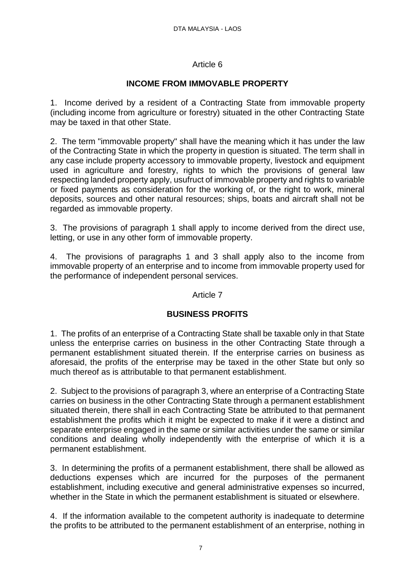# **INCOME FROM IMMOVABLE PROPERTY**

1. Income derived by a resident of a Contracting State from immovable property (including income from agriculture or forestry) situated in the other Contracting State may be taxed in that other State.

2. The term "immovable property" shall have the meaning which it has under the law of the Contracting State in which the property in question is situated. The term shall in any case include property accessory to immovable property, livestock and equipment used in agriculture and forestry, rights to which the provisions of general law respecting landed property apply, usufruct of immovable property and rights to variable or fixed payments as consideration for the working of, or the right to work, mineral deposits, sources and other natural resources; ships, boats and aircraft shall not be regarded as immovable property.

3. The provisions of paragraph 1 shall apply to income derived from the direct use, letting, or use in any other form of immovable property.

4. The provisions of paragraphs 1 and 3 shall apply also to the income from immovable property of an enterprise and to income from immovable property used for the performance of independent personal services.

### Article 7

# **BUSINESS PROFITS**

1. The profits of an enterprise of a Contracting State shall be taxable only in that State unless the enterprise carries on business in the other Contracting State through a permanent establishment situated therein. If the enterprise carries on business as aforesaid, the profits of the enterprise may be taxed in the other State but only so much thereof as is attributable to that permanent establishment.

2. Subject to the provisions of paragraph 3, where an enterprise of a Contracting State carries on business in the other Contracting State through a permanent establishment situated therein, there shall in each Contracting State be attributed to that permanent establishment the profits which it might be expected to make if it were a distinct and separate enterprise engaged in the same or similar activities under the same or similar conditions and dealing wholly independently with the enterprise of which it is a permanent establishment.

3. In determining the profits of a permanent establishment, there shall be allowed as deductions expenses which are incurred for the purposes of the permanent establishment, including executive and general administrative expenses so incurred, whether in the State in which the permanent establishment is situated or elsewhere.

4. If the information available to the competent authority is inadequate to determine the profits to be attributed to the permanent establishment of an enterprise, nothing in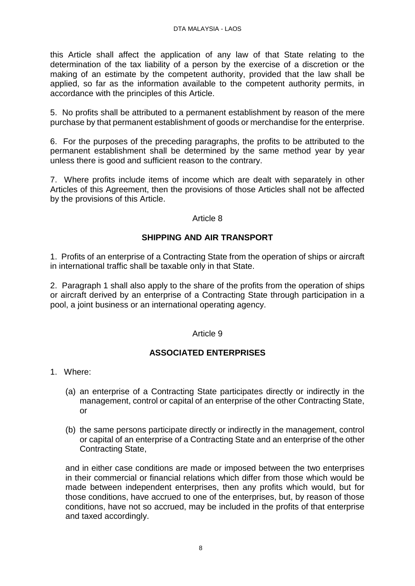this Article shall affect the application of any law of that State relating to the determination of the tax liability of a person by the exercise of a discretion or the making of an estimate by the competent authority, provided that the law shall be applied, so far as the information available to the competent authority permits, in accordance with the principles of this Article.

5. No profits shall be attributed to a permanent establishment by reason of the mere purchase by that permanent establishment of goods or merchandise for the enterprise.

6. For the purposes of the preceding paragraphs, the profits to be attributed to the permanent establishment shall be determined by the same method year by year unless there is good and sufficient reason to the contrary.

7. Where profits include items of income which are dealt with separately in other Articles of this Agreement, then the provisions of those Articles shall not be affected by the provisions of this Article.

### Article 8

### **SHIPPING AND AIR TRANSPORT**

1. Profits of an enterprise of a Contracting State from the operation of ships or aircraft in international traffic shall be taxable only in that State.

2. Paragraph 1 shall also apply to the share of the profits from the operation of ships or aircraft derived by an enterprise of a Contracting State through participation in a pool, a joint business or an international operating agency.

### Article 9

# **ASSOCIATED ENTERPRISES**

- 1. Where:
	- (a) an enterprise of a Contracting State participates directly or indirectly in the management, control or capital of an enterprise of the other Contracting State, or
	- (b) the same persons participate directly or indirectly in the management, control or capital of an enterprise of a Contracting State and an enterprise of the other Contracting State,

and in either case conditions are made or imposed between the two enterprises in their commercial or financial relations which differ from those which would be made between independent enterprises, then any profits which would, but for those conditions, have accrued to one of the enterprises, but, by reason of those conditions, have not so accrued, may be included in the profits of that enterprise and taxed accordingly.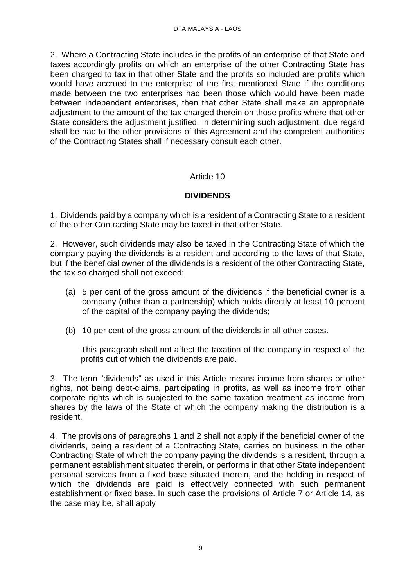2. Where a Contracting State includes in the profits of an enterprise of that State and taxes accordingly profits on which an enterprise of the other Contracting State has been charged to tax in that other State and the profits so included are profits which would have accrued to the enterprise of the first mentioned State if the conditions made between the two enterprises had been those which would have been made between independent enterprises, then that other State shall make an appropriate adjustment to the amount of the tax charged therein on those profits where that other State considers the adjustment justified. In determining such adjustment, due regard shall be had to the other provisions of this Agreement and the competent authorities of the Contracting States shall if necessary consult each other.

### Article 10

## **DIVIDENDS**

1. Dividends paid by a company which is a resident of a Contracting State to a resident of the other Contracting State may be taxed in that other State.

2. However, such dividends may also be taxed in the Contracting State of which the company paying the dividends is a resident and according to the laws of that State, but if the beneficial owner of the dividends is a resident of the other Contracting State, the tax so charged shall not exceed:

- (a) 5 per cent of the gross amount of the dividends if the beneficial owner is a company (other than a partnership) which holds directly at least 10 percent of the capital of the company paying the dividends;
- (b) 10 per cent of the gross amount of the dividends in all other cases.

This paragraph shall not affect the taxation of the company in respect of the profits out of which the dividends are paid.

3. The term "dividends" as used in this Article means income from shares or other rights, not being debt-claims, participating in profits, as well as income from other corporate rights which is subjected to the same taxation treatment as income from shares by the laws of the State of which the company making the distribution is a resident.

4. The provisions of paragraphs 1 and 2 shall not apply if the beneficial owner of the dividends, being a resident of a Contracting State, carries on business in the other Contracting State of which the company paying the dividends is a resident, through a permanent establishment situated therein, or performs in that other State independent personal services from a fixed base situated therein, and the holding in respect of which the dividends are paid is effectively connected with such permanent establishment or fixed base. In such case the provisions of Article 7 or Article 14, as the case may be, shall apply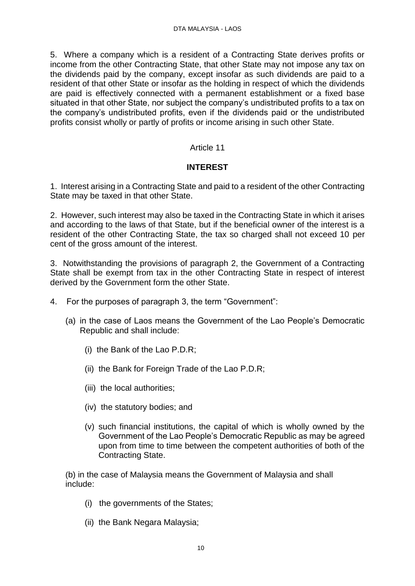5. Where a company which is a resident of a Contracting State derives profits or income from the other Contracting State, that other State may not impose any tax on the dividends paid by the company, except insofar as such dividends are paid to a resident of that other State or insofar as the holding in respect of which the dividends are paid is effectively connected with a permanent establishment or a fixed base situated in that other State, nor subject the company's undistributed profits to a tax on the company's undistributed profits, even if the dividends paid or the undistributed profits consist wholly or partly of profits or income arising in such other State.

## Article 11

# **INTEREST**

1. Interest arising in a Contracting State and paid to a resident of the other Contracting State may be taxed in that other State.

2. However, such interest may also be taxed in the Contracting State in which it arises and according to the laws of that State, but if the beneficial owner of the interest is a resident of the other Contracting State, the tax so charged shall not exceed 10 per cent of the gross amount of the interest.

3. Notwithstanding the provisions of paragraph 2, the Government of a Contracting State shall be exempt from tax in the other Contracting State in respect of interest derived by the Government form the other State.

- 4. For the purposes of paragraph 3, the term "Government":
	- (a) in the case of Laos means the Government of the Lao People's Democratic Republic and shall include:
		- (i) the Bank of the Lao P.D.R;
		- (ii) the Bank for Foreign Trade of the Lao P.D.R;
		- (iii) the local authorities;
		- (iv) the statutory bodies; and
		- (v) such financial institutions, the capital of which is wholly owned by the Government of the Lao People's Democratic Republic as may be agreed upon from time to time between the competent authorities of both of the Contracting State.

(b) in the case of Malaysia means the Government of Malaysia and shall include:

- (i) the governments of the States;
- (ii) the Bank Negara Malaysia;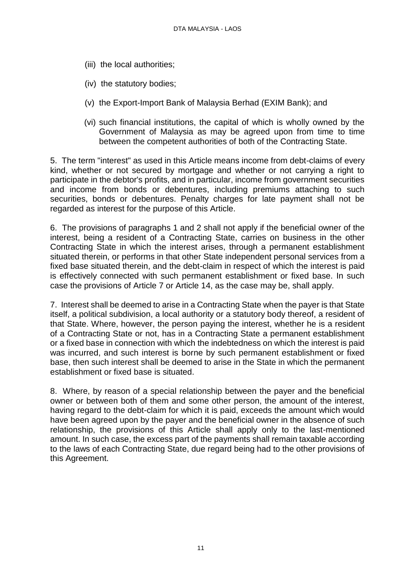- (iii) the local authorities;
- (iv) the statutory bodies;
- (v) the Export-Import Bank of Malaysia Berhad (EXIM Bank); and
- (vi) such financial institutions, the capital of which is wholly owned by the Government of Malaysia as may be agreed upon from time to time between the competent authorities of both of the Contracting State.

5. The term "interest" as used in this Article means income from debt-claims of every kind, whether or not secured by mortgage and whether or not carrying a right to participate in the debtor's profits, and in particular, income from government securities and income from bonds or debentures, including premiums attaching to such securities, bonds or debentures. Penalty charges for late payment shall not be regarded as interest for the purpose of this Article.

6. The provisions of paragraphs 1 and 2 shall not apply if the beneficial owner of the interest, being a resident of a Contracting State, carries on business in the other Contracting State in which the interest arises, through a permanent establishment situated therein, or performs in that other State independent personal services from a fixed base situated therein, and the debt-claim in respect of which the interest is paid is effectively connected with such permanent establishment or fixed base. In such case the provisions of Article 7 or Article 14, as the case may be, shall apply.

7. Interest shall be deemed to arise in a Contracting State when the payer is that State itself, a political subdivision, a local authority or a statutory body thereof, a resident of that State. Where, however, the person paying the interest, whether he is a resident of a Contracting State or not, has in a Contracting State a permanent establishment or a fixed base in connection with which the indebtedness on which the interest is paid was incurred, and such interest is borne by such permanent establishment or fixed base, then such interest shall be deemed to arise in the State in which the permanent establishment or fixed base is situated.

8. Where, by reason of a special relationship between the payer and the beneficial owner or between both of them and some other person, the amount of the interest, having regard to the debt-claim for which it is paid, exceeds the amount which would have been agreed upon by the payer and the beneficial owner in the absence of such relationship, the provisions of this Article shall apply only to the last-mentioned amount. In such case, the excess part of the payments shall remain taxable according to the laws of each Contracting State, due regard being had to the other provisions of this Agreement.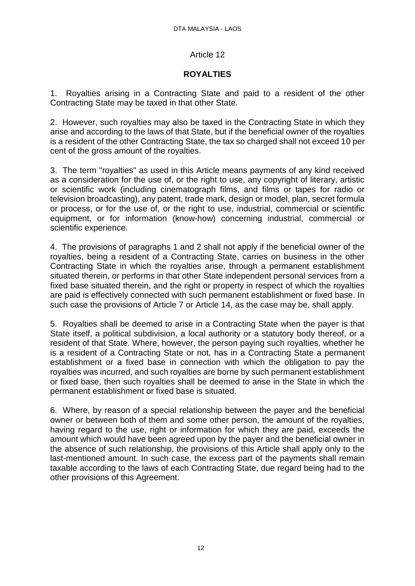### **ROYALTIES**

1. Royalties arising in a Contracting State and paid to a resident of the other Contracting State may be taxed in that other State.

2. However, such royalties may also be taxed in the Contracting State in which they arise and according to the laws of that State, but if the beneficial owner of the royalties is a resident of the other Contracting State, the tax so charged shall not exceed 10 per cent of the gross amount of the royalties.

3. The term "royalties" as used in this Article means payments of any kind received as a consideration for the use of, or the right to use, any copyright of literary, artistic or scientific work (including cinematograph films, and films or tapes for radio or television broadcasting), any patent, trade mark, design or model, plan, secret formula or process, or for the use of, or the right to use, industrial, commercial or scientific equipment, or for information (know-how) concerning industrial, commercial or scientific experience.

4. The provisions of paragraphs 1 and 2 shall not apply if the beneficial owner of the royalties, being a resident of a Contracting State, carries on business in the other Contracting State in which the royalties arise, through a permanent establishment situated therein, or performs in that other State independent personal services from a fixed base situated therein, and the right or property in respect of which the royalties are paid is effectively connected with such permanent establishment or fixed base. In such case the provisions of Article 7 or Article 14, as the case may be, shall apply.

5. Royalties shall be deemed to arise in a Contracting State when the payer is that State itself, a political subdivision, a local authority or a statutory body thereof, or a resident of that State. Where, however, the person paying such royalties, whether he is a resident of a Contracting State or not, has in a Contracting State a permanent establishment or a fixed base in connection with which the obligation to pay the royalties was incurred, and such royalties are borne by such permanent establishment or fixed base, then such royalties shall be deemed to arise in the State in which the permanent establishment or fixed base is situated.

6. Where, by reason of a special relationship between the payer and the beneficial owner or between both of them and some other person, the amount of the royalties, having regard to the use, right or information for which they are paid, exceeds the amount which would have been agreed upon by the payer and the beneficial owner in the absence of such relationship, the provisions of this Article shall apply only to the last-mentioned amount. In such case, the excess part of the payments shall remain taxable according to the laws of each Contracting State, due regard being had to the other provisions of this Agreement.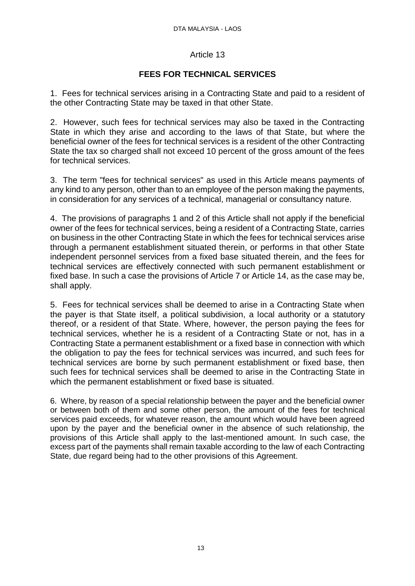## **FEES FOR TECHNICAL SERVICES**

1. Fees for technical services arising in a Contracting State and paid to a resident of the other Contracting State may be taxed in that other State.

2. However, such fees for technical services may also be taxed in the Contracting State in which they arise and according to the laws of that State, but where the beneficial owner of the fees for technical services is a resident of the other Contracting State the tax so charged shall not exceed 10 percent of the gross amount of the fees for technical services.

3. The term "fees for technical services" as used in this Article means payments of any kind to any person, other than to an employee of the person making the payments, in consideration for any services of a technical, managerial or consultancy nature.

4. The provisions of paragraphs 1 and 2 of this Article shall not apply if the beneficial owner of the fees for technical services, being a resident of a Contracting State, carries on business in the other Contracting State in which the fees for technical services arise through a permanent establishment situated therein, or performs in that other State independent personnel services from a fixed base situated therein, and the fees for technical services are effectively connected with such permanent establishment or fixed base. In such a case the provisions of Article 7 or Article 14, as the case may be, shall apply.

5. Fees for technical services shall be deemed to arise in a Contracting State when the payer is that State itself, a political subdivision, a local authority or a statutory thereof, or a resident of that State. Where, however, the person paying the fees for technical services, whether he is a resident of a Contracting State or not, has in a Contracting State a permanent establishment or a fixed base in connection with which the obligation to pay the fees for technical services was incurred, and such fees for technical services are borne by such permanent establishment or fixed base, then such fees for technical services shall be deemed to arise in the Contracting State in which the permanent establishment or fixed base is situated.

6. Where, by reason of a special relationship between the payer and the beneficial owner or between both of them and some other person, the amount of the fees for technical services paid exceeds, for whatever reason, the amount which would have been agreed upon by the payer and the beneficial owner in the absence of such relationship, the provisions of this Article shall apply to the last-mentioned amount. In such case, the excess part of the payments shall remain taxable according to the law of each Contracting State, due regard being had to the other provisions of this Agreement.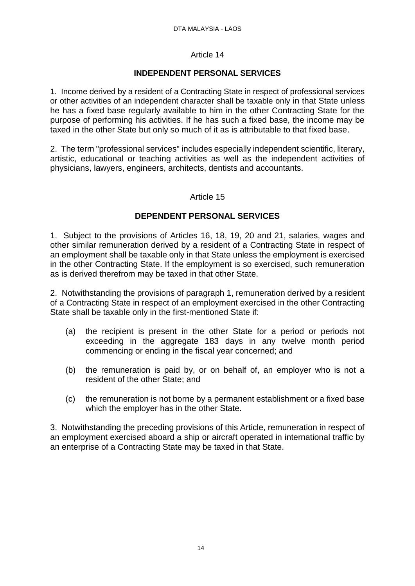#### **INDEPENDENT PERSONAL SERVICES**

1. Income derived by a resident of a Contracting State in respect of professional services or other activities of an independent character shall be taxable only in that State unless he has a fixed base regularly available to him in the other Contracting State for the purpose of performing his activities. If he has such a fixed base, the income may be taxed in the other State but only so much of it as is attributable to that fixed base.

2. The term "professional services" includes especially independent scientific, literary, artistic, educational or teaching activities as well as the independent activities of physicians, lawyers, engineers, architects, dentists and accountants.

### Article 15

### **DEPENDENT PERSONAL SERVICES**

1. Subject to the provisions of Articles 16, 18, 19, 20 and 21, salaries, wages and other similar remuneration derived by a resident of a Contracting State in respect of an employment shall be taxable only in that State unless the employment is exercised in the other Contracting State. If the employment is so exercised, such remuneration as is derived therefrom may be taxed in that other State.

2. Notwithstanding the provisions of paragraph 1, remuneration derived by a resident of a Contracting State in respect of an employment exercised in the other Contracting State shall be taxable only in the first-mentioned State if:

- (a) the recipient is present in the other State for a period or periods not exceeding in the aggregate 183 days in any twelve month period commencing or ending in the fiscal year concerned; and
- (b) the remuneration is paid by, or on behalf of, an employer who is not a resident of the other State; and
- (c) the remuneration is not borne by a permanent establishment or a fixed base which the employer has in the other State.

3. Notwithstanding the preceding provisions of this Article, remuneration in respect of an employment exercised aboard a ship or aircraft operated in international traffic by an enterprise of a Contracting State may be taxed in that State.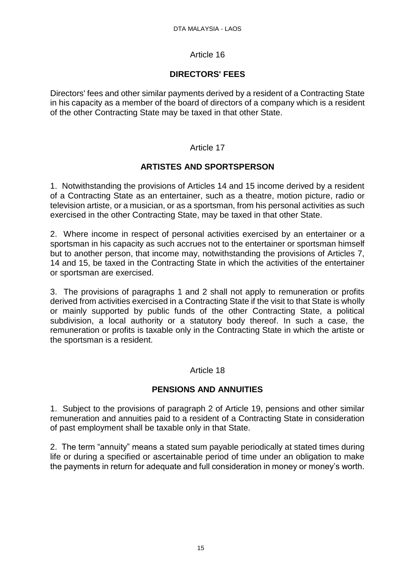## **DIRECTORS' FEES**

Directors' fees and other similar payments derived by a resident of a Contracting State in his capacity as a member of the board of directors of a company which is a resident of the other Contracting State may be taxed in that other State.

## Article 17

# **ARTISTES AND SPORTSPERSON**

1. Notwithstanding the provisions of Articles 14 and 15 income derived by a resident of a Contracting State as an entertainer, such as a theatre, motion picture, radio or television artiste, or a musician, or as a sportsman, from his personal activities as such exercised in the other Contracting State, may be taxed in that other State.

2. Where income in respect of personal activities exercised by an entertainer or a sportsman in his capacity as such accrues not to the entertainer or sportsman himself but to another person, that income may, notwithstanding the provisions of Articles 7, 14 and 15, be taxed in the Contracting State in which the activities of the entertainer or sportsman are exercised.

3. The provisions of paragraphs 1 and 2 shall not apply to remuneration or profits derived from activities exercised in a Contracting State if the visit to that State is wholly or mainly supported by public funds of the other Contracting State, a political subdivision, a local authority or a statutory body thereof. In such a case, the remuneration or profits is taxable only in the Contracting State in which the artiste or the sportsman is a resident.

### Article 18

### **PENSIONS AND ANNUITIES**

1. Subject to the provisions of paragraph 2 of Article 19, pensions and other similar remuneration and annuities paid to a resident of a Contracting State in consideration of past employment shall be taxable only in that State.

2. The term "annuity" means a stated sum payable periodically at stated times during life or during a specified or ascertainable period of time under an obligation to make the payments in return for adequate and full consideration in money or money's worth.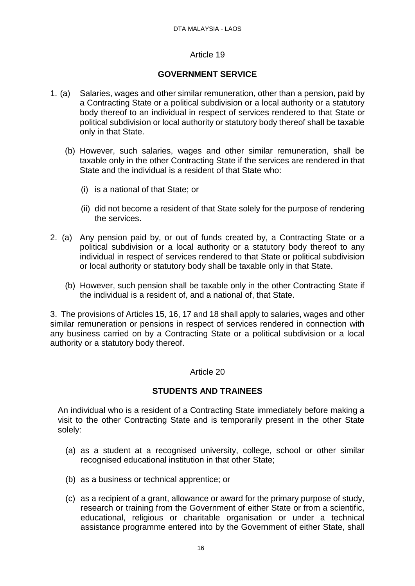### **GOVERNMENT SERVICE**

- 1. (a) Salaries, wages and other similar remuneration, other than a pension, paid by a Contracting State or a political subdivision or a local authority or a statutory body thereof to an individual in respect of services rendered to that State or political subdivision or local authority or statutory body thereof shall be taxable only in that State.
	- (b) However, such salaries, wages and other similar remuneration, shall be taxable only in the other Contracting State if the services are rendered in that State and the individual is a resident of that State who:
		- (i) is a national of that State; or
		- (ii) did not become a resident of that State solely for the purpose of rendering the services.
- 2. (a) Any pension paid by, or out of funds created by, a Contracting State or a political subdivision or a local authority or a statutory body thereof to any individual in respect of services rendered to that State or political subdivision or local authority or statutory body shall be taxable only in that State.
	- (b) However, such pension shall be taxable only in the other Contracting State if the individual is a resident of, and a national of, that State.

3. The provisions of Articles 15, 16, 17 and 18 shall apply to salaries, wages and other similar remuneration or pensions in respect of services rendered in connection with any business carried on by a Contracting State or a political subdivision or a local authority or a statutory body thereof.

### Article 20

### **STUDENTS AND TRAINEES**

An individual who is a resident of a Contracting State immediately before making a visit to the other Contracting State and is temporarily present in the other State solely:

- (a) as a student at a recognised university, college, school or other similar recognised educational institution in that other State;
- (b) as a business or technical apprentice; or
- (c) as a recipient of a grant, allowance or award for the primary purpose of study, research or training from the Government of either State or from a scientific, educational, religious or charitable organisation or under a technical assistance programme entered into by the Government of either State, shall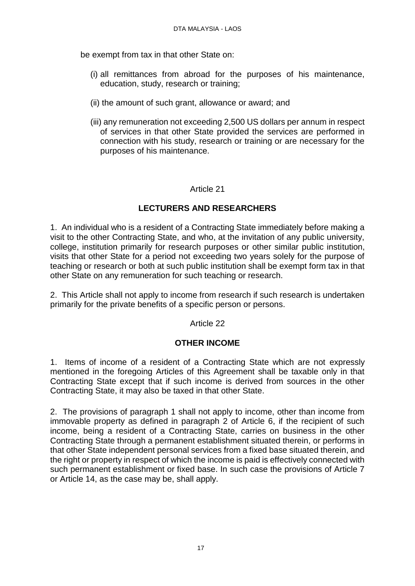be exempt from tax in that other State on:

- (i) all remittances from abroad for the purposes of his maintenance, education, study, research or training;
- (ii) the amount of such grant, allowance or award; and
- (iii) any remuneration not exceeding 2,500 US dollars per annum in respect of services in that other State provided the services are performed in connection with his study, research or training or are necessary for the purposes of his maintenance.

### Article 21

### **LECTURERS AND RESEARCHERS**

1. An individual who is a resident of a Contracting State immediately before making a visit to the other Contracting State, and who, at the invitation of any public university, college, institution primarily for research purposes or other similar public institution, visits that other State for a period not exceeding two years solely for the purpose of teaching or research or both at such public institution shall be exempt form tax in that other State on any remuneration for such teaching or research.

2. This Article shall not apply to income from research if such research is undertaken primarily for the private benefits of a specific person or persons.

Article 22

### **OTHER INCOME**

1. Items of income of a resident of a Contracting State which are not expressly mentioned in the foregoing Articles of this Agreement shall be taxable only in that Contracting State except that if such income is derived from sources in the other Contracting State, it may also be taxed in that other State.

2. The provisions of paragraph 1 shall not apply to income, other than income from immovable property as defined in paragraph 2 of Article 6, if the recipient of such income, being a resident of a Contracting State, carries on business in the other Contracting State through a permanent establishment situated therein, or performs in that other State independent personal services from a fixed base situated therein, and the right or property in respect of which the income is paid is effectively connected with such permanent establishment or fixed base. In such case the provisions of Article 7 or Article 14, as the case may be, shall apply.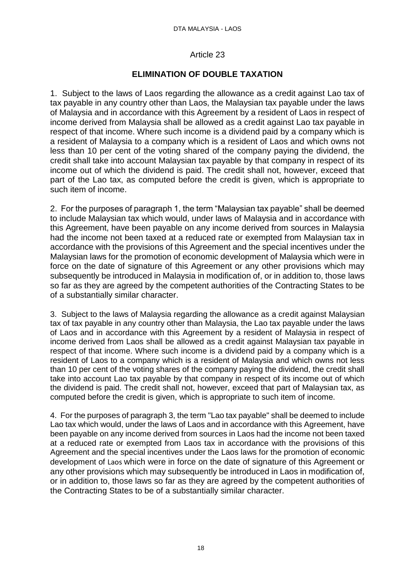## **ELIMINATION OF DOUBLE TAXATION**

1. Subject to the laws of Laos regarding the allowance as a credit against Lao tax of tax payable in any country other than Laos, the Malaysian tax payable under the laws of Malaysia and in accordance with this Agreement by a resident of Laos in respect of income derived from Malaysia shall be allowed as a credit against Lao tax payable in respect of that income. Where such income is a dividend paid by a company which is a resident of Malaysia to a company which is a resident of Laos and which owns not less than 10 per cent of the voting shared of the company paying the dividend, the credit shall take into account Malaysian tax payable by that company in respect of its income out of which the dividend is paid. The credit shall not, however, exceed that part of the Lao tax, as computed before the credit is given, which is appropriate to such item of income.

2. For the purposes of paragraph 1, the term "Malaysian tax payable" shall be deemed to include Malaysian tax which would, under laws of Malaysia and in accordance with this Agreement, have been payable on any income derived from sources in Malaysia had the income not been taxed at a reduced rate or exempted from Malaysian tax in accordance with the provisions of this Agreement and the special incentives under the Malaysian laws for the promotion of economic development of Malaysia which were in force on the date of signature of this Agreement or any other provisions which may subsequently be introduced in Malaysia in modification of, or in addition to, those laws so far as they are agreed by the competent authorities of the Contracting States to be of a substantially similar character.

3. Subject to the laws of Malaysia regarding the allowance as a credit against Malaysian tax of tax payable in any country other than Malaysia, the Lao tax payable under the laws of Laos and in accordance with this Agreement by a resident of Malaysia in respect of income derived from Laos shall be allowed as a credit against Malaysian tax payable in respect of that income. Where such income is a dividend paid by a company which is a resident of Laos to a company which is a resident of Malaysia and which owns not less than 10 per cent of the voting shares of the company paying the dividend, the credit shall take into account Lao tax payable by that company in respect of its income out of which the dividend is paid. The credit shall not, however, exceed that part of Malaysian tax, as computed before the credit is given, which is appropriate to such item of income.

4. For the purposes of paragraph 3, the term "Lao tax payable" shall be deemed to include Lao tax which would, under the laws of Laos and in accordance with this Agreement, have been payable on any income derived from sources in Laos had the income not been taxed at a reduced rate or exempted from Laos tax in accordance with the provisions of this Agreement and the special incentives under the Laos laws for the promotion of economic development of Laos which were in force on the date of signature of this Agreement or any other provisions which may subsequently be introduced in Laos in modification of, or in addition to, those laws so far as they are agreed by the competent authorities of the Contracting States to be of a substantially similar character.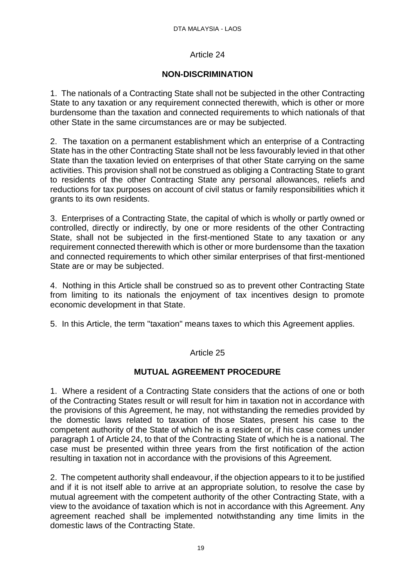## **NON-DISCRIMINATION**

1. The nationals of a Contracting State shall not be subjected in the other Contracting State to any taxation or any requirement connected therewith, which is other or more burdensome than the taxation and connected requirements to which nationals of that other State in the same circumstances are or may be subjected.

2. The taxation on a permanent establishment which an enterprise of a Contracting State has in the other Contracting State shall not be less favourably levied in that other State than the taxation levied on enterprises of that other State carrying on the same activities. This provision shall not be construed as obliging a Contracting State to grant to residents of the other Contracting State any personal allowances, reliefs and reductions for tax purposes on account of civil status or family responsibilities which it grants to its own residents.

3. Enterprises of a Contracting State, the capital of which is wholly or partly owned or controlled, directly or indirectly, by one or more residents of the other Contracting State, shall not be subjected in the first-mentioned State to any taxation or any requirement connected therewith which is other or more burdensome than the taxation and connected requirements to which other similar enterprises of that first-mentioned State are or may be subjected.

4. Nothing in this Article shall be construed so as to prevent other Contracting State from limiting to its nationals the enjoyment of tax incentives design to promote economic development in that State.

5. In this Article, the term "taxation" means taxes to which this Agreement applies.

### Article 25

# **MUTUAL AGREEMENT PROCEDURE**

1. Where a resident of a Contracting State considers that the actions of one or both of the Contracting States result or will result for him in taxation not in accordance with the provisions of this Agreement, he may, not withstanding the remedies provided by the domestic laws related to taxation of those States, present his case to the competent authority of the State of which he is a resident or, if his case comes under paragraph 1 of Article 24, to that of the Contracting State of which he is a national. The case must be presented within three years from the first notification of the action resulting in taxation not in accordance with the provisions of this Agreement.

2. The competent authority shall endeavour, if the objection appears to it to be justified and if it is not itself able to arrive at an appropriate solution, to resolve the case by mutual agreement with the competent authority of the other Contracting State, with a view to the avoidance of taxation which is not in accordance with this Agreement. Any agreement reached shall be implemented notwithstanding any time limits in the domestic laws of the Contracting State.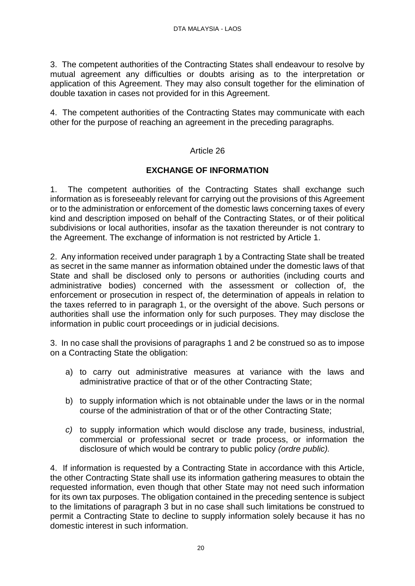3. The competent authorities of the Contracting States shall endeavour to resolve by mutual agreement any difficulties or doubts arising as to the interpretation or application of this Agreement. They may also consult together for the elimination of double taxation in cases not provided for in this Agreement.

4. The competent authorities of the Contracting States may communicate with each other for the purpose of reaching an agreement in the preceding paragraphs.

### Article 26

## **EXCHANGE OF INFORMATION**

1. The competent authorities of the Contracting States shall exchange such information as is foreseeably relevant for carrying out the provisions of this Agreement or to the administration or enforcement of the domestic laws concerning taxes of every kind and description imposed on behalf of the Contracting States, or of their political subdivisions or local authorities, insofar as the taxation thereunder is not contrary to the Agreement. The exchange of information is not restricted by Article 1.

2. Any information received under paragraph 1 by a Contracting State shall be treated as secret in the same manner as information obtained under the domestic laws of that State and shall be disclosed only to persons or authorities (including courts and administrative bodies) concerned with the assessment or collection of, the enforcement or prosecution in respect of, the determination of appeals in relation to the taxes referred to in paragraph 1, or the oversight of the above. Such persons or authorities shall use the information only for such purposes. They may disclose the information in public court proceedings or in judicial decisions.

3. In no case shall the provisions of paragraphs 1 and 2 be construed so as to impose on a Contracting State the obligation:

- a) to carry out administrative measures at variance with the laws and administrative practice of that or of the other Contracting State;
- b) to supply information which is not obtainable under the laws or in the normal course of the administration of that or of the other Contracting State;
- *c)* to supply information which would disclose any trade, business, industrial, commercial or professional secret or trade process, or information the disclosure of which would be contrary to public policy *(ordre public).*

4. If information is requested by a Contracting State in accordance with this Article, the other Contracting State shall use its information gathering measures to obtain the requested information, even though that other State may not need such information for its own tax purposes. The obligation contained in the preceding sentence is subject to the limitations of paragraph 3 but in no case shall such limitations be construed to permit a Contracting State to decline to supply information solely because it has no domestic interest in such information.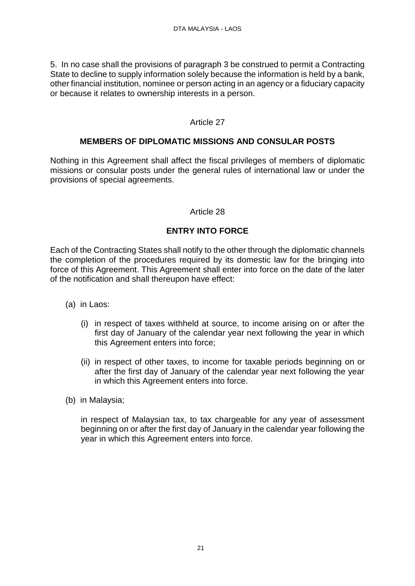5. In no case shall the provisions of paragraph 3 be construed to permit a Contracting State to decline to supply information solely because the information is held by a bank, other financial institution, nominee or person acting in an agency or a fiduciary capacity or because it relates to ownership interests in a person.

### Article 27

## **MEMBERS OF DIPLOMATIC MISSIONS AND CONSULAR POSTS**

Nothing in this Agreement shall affect the fiscal privileges of members of diplomatic missions or consular posts under the general rules of international law or under the provisions of special agreements.

### Article 28

# **ENTRY INTO FORCE**

Each of the Contracting States shall notify to the other through the diplomatic channels the completion of the procedures required by its domestic law for the bringing into force of this Agreement. This Agreement shall enter into force on the date of the later of the notification and shall thereupon have effect:

- (a) in Laos:
	- (i) in respect of taxes withheld at source, to income arising on or after the first day of January of the calendar year next following the year in which this Agreement enters into force;
	- (ii) in respect of other taxes, to income for taxable periods beginning on or after the first day of January of the calendar year next following the year in which this Agreement enters into force.
- (b) in Malaysia;

in respect of Malaysian tax, to tax chargeable for any year of assessment beginning on or after the first day of January in the calendar year following the year in which this Agreement enters into force.